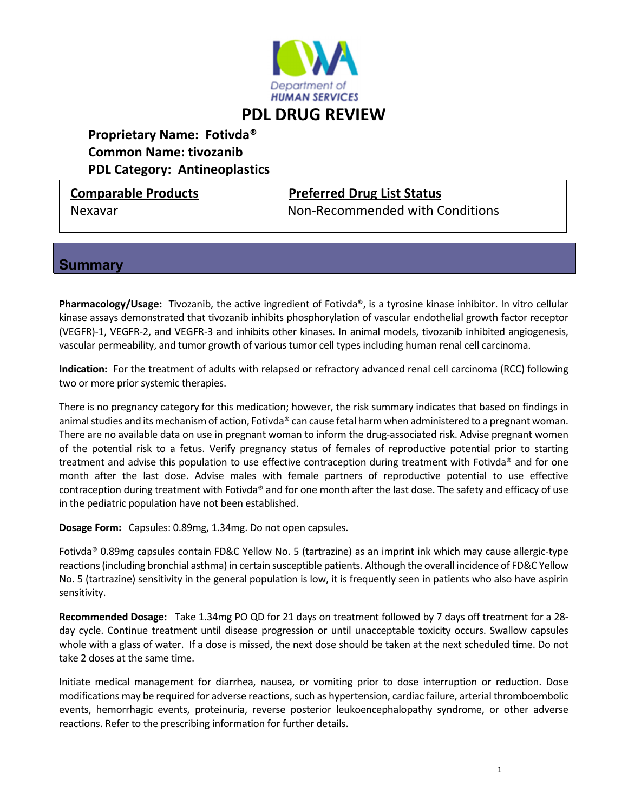

# **Proprietary Name: Fotivda® Common Name: tivozanib PDL Category: Antineoplastics**

## **Comparable Products Preferred Drug List Status**

Nexavar Non‐Recommended with Conditions

#### **Summary**

**Pharmacology/Usage:** Tivozanib, the active ingredient of Fotivda®, is a tyrosine kinase inhibitor. In vitro cellular kinase assays demonstrated that tivozanib inhibits phosphorylation of vascular endothelial growth factor receptor (VEGFR)‐1, VEGFR‐2, and VEGFR‐3 and inhibits other kinases. In animal models, tivozanib inhibited angiogenesis, vascular permeability, and tumor growth of various tumor cell types including human renal cell carcinoma. 

**Indication:** For the treatment of adults with relapsed or refractory advanced renal cell carcinoma (RCC) following two or more prior systemic therapies.

There is no pregnancy category for this medication; however, the risk summary indicates that based on findings in animal studies and its mechanism of action, Fotivda® can cause fetal harm when administered to a pregnant woman. There are no available data on use in pregnant woman to inform the drug‐associated risk. Advise pregnant women of the potential risk to a fetus. Verify pregnancy status of females of reproductive potential prior to starting treatment and advise this population to use effective contraception during treatment with Fotivda® and for one month after the last dose. Advise males with female partners of reproductive potential to use effective contraception during treatment with Fotivda® and for one month after the last dose. The safety and efficacy of use in the pediatric population have not been established.

**Dosage Form:** Capsules: 0.89mg, 1.34mg. Do not open capsules.

Fotivda® 0.89mg capsules contain FD&C Yellow No. 5 (tartrazine) as an imprint ink which may cause allergic‐type reactions(including bronchial asthma) in certain susceptible patients. Although the overall incidence of FD&C Yellow No. 5 (tartrazine) sensitivity in the general population is low, it is frequently seen in patients who also have aspirin sensitivity.

**Recommended Dosage:** Take 1.34mg PO QD for 21 days on treatment followed by 7 days off treatment for a 28‐ day cycle. Continue treatment until disease progression or until unacceptable toxicity occurs. Swallow capsules whole with a glass of water. If a dose is missed, the next dose should be taken at the next scheduled time. Do not take 2 doses at the same time.

Initiate medical management for diarrhea, nausea, or vomiting prior to dose interruption or reduction. Dose modifications may be required for adverse reactions, such as hypertension, cardiac failure, arterial thromboembolic events, hemorrhagic events, proteinuria, reverse posterior leukoencephalopathy syndrome, or other adverse reactions. Refer to the prescribing information for further details.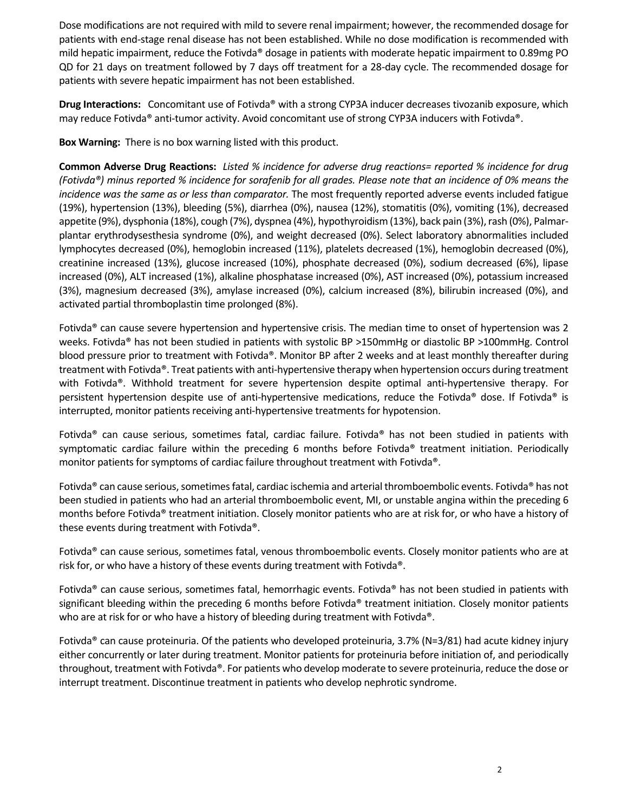Dose modifications are not required with mild to severe renal impairment; however, the recommended dosage for patients with end‐stage renal disease has not been established. While no dose modification is recommended with mild hepatic impairment, reduce the Fotivda® dosage in patients with moderate hepatic impairment to 0.89mg PO QD for 21 days on treatment followed by 7 days off treatment for a 28‐day cycle. The recommended dosage for patients with severe hepatic impairment has not been established.

**Drug Interactions:**  Concomitant use of Fotivda® with a strong CYP3A inducer decreases tivozanib exposure, which may reduce Fotivda® anti-tumor activity. Avoid concomitant use of strong CYP3A inducers with Fotivda®.

**Box Warning:** There is no box warning listed with this product.

Common Adverse Drug Reactions: Listed % incidence for adverse drug reactions= reported % incidence for drug (Fotivda®) minus reported % incidence for sorafenib for all grades. Please note that an incidence of 0% means the *incidence was the same as or less than comparator.* The most frequently reported adverse events included fatigue (19%), hypertension (13%), bleeding (5%), diarrhea (0%), nausea (12%), stomatitis (0%), vomiting (1%), decreased appetite (9%), dysphonia (18%), cough (7%), dyspnea (4%), hypothyroidism (13%), back pain (3%), rash (0%), Palmarplantar erythrodysesthesia syndrome (0%), and weight decreased (0%). Select laboratory abnormalities included lymphocytes decreased (0%), hemoglobin increased (11%), platelets decreased (1%), hemoglobin decreased (0%), creatinine increased (13%), glucose increased (10%), phosphate decreased (0%), sodium decreased (6%), lipase increased (0%), ALT increased (1%), alkaline phosphatase increased (0%), AST increased (0%), potassium increased (3%), magnesium decreased (3%), amylase increased (0%), calcium increased (8%), bilirubin increased (0%), and activated partial thromboplastin time prolonged (8%).

Fotivda® can cause severe hypertension and hypertensive crisis. The median time to onset of hypertension was 2 weeks. Fotivda® has not been studied in patients with systolic BP >150mmHg or diastolic BP >100mmHg. Control blood pressure prior to treatment with Fotivda®. Monitor BP after 2 weeks and at least monthly thereafter during treatment with Fotivda®. Treat patients with anti‐hypertensive therapy when hypertension occurs during treatment with Fotivda®. Withhold treatment for severe hypertension despite optimal anti-hypertensive therapy. For persistent hypertension despite use of anti‐hypertensive medications, reduce the Fotivda® dose. If Fotivda® is interrupted, monitor patients receiving anti‐hypertensive treatments for hypotension.

Fotivda® can cause serious, sometimes fatal, cardiac failure. Fotivda® has not been studied in patients with symptomatic cardiac failure within the preceding 6 months before Fotivda® treatment initiation. Periodically monitor patients for symptoms of cardiac failure throughout treatment with Fotivda®.

Fotivda® can cause serious, sometimes fatal, cardiac ischemia and arterial thromboembolic events. Fotivda® has not been studied in patients who had an arterial thromboembolic event, MI, or unstable angina within the preceding 6 months before Fotivda® treatment initiation. Closely monitor patients who are at risk for, or who have a history of these events during treatment with Fotivda®.

Fotivda® can cause serious, sometimes fatal, venous thromboembolic events. Closely monitor patients who are at risk for, or who have a history of these events during treatment with Fotivda®.

Fotivda® can cause serious, sometimes fatal, hemorrhagic events. Fotivda® has not been studied in patients with significant bleeding within the preceding 6 months before Fotivda® treatment initiation. Closely monitor patients who are at risk for or who have a history of bleeding during treatment with Fotivda®.

Fotivda® can cause proteinuria. Of the patients who developed proteinuria, 3.7% (N=3/81) had acute kidney injury either concurrently or later during treatment. Monitor patients for proteinuria before initiation of, and periodically throughout, treatment with Fotivda®. For patients who develop moderate to severe proteinuria, reduce the dose or interrupt treatment. Discontinue treatment in patients who develop nephrotic syndrome.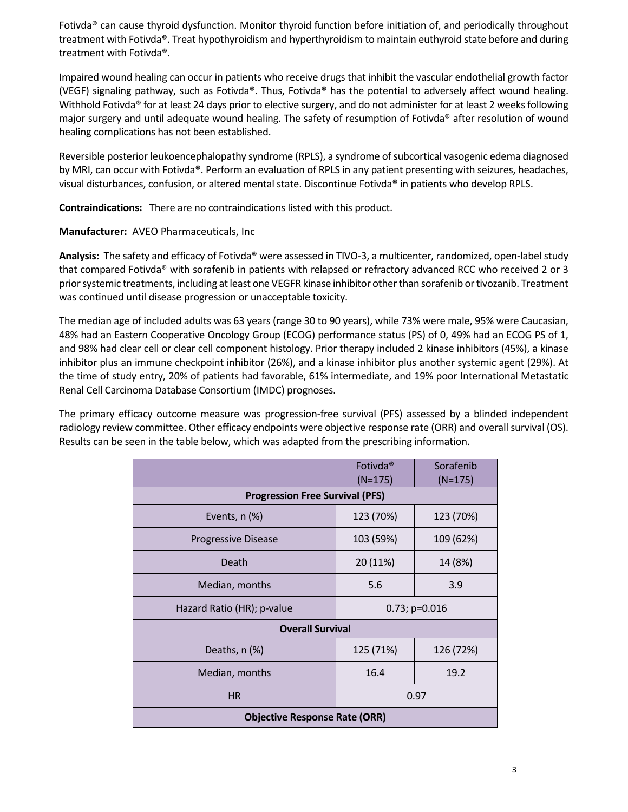Fotivda® can cause thyroid dysfunction. Monitor thyroid function before initiation of, and periodically throughout treatment with Fotivda®. Treat hypothyroidism and hyperthyroidism to maintain euthyroid state before and during treatment with Fotivda®.

Impaired wound healing can occur in patients who receive drugs that inhibit the vascular endothelial growth factor (VEGF) signaling pathway, such as Fotivda®. Thus, Fotivda® has the potential to adversely affect wound healing. Withhold Fotivda® for at least 24 days prior to elective surgery, and do not administer for at least 2 weeks following major surgery and until adequate wound healing. The safety of resumption of Fotivda® after resolution of wound healing complications has not been established.

Reversible posterior leukoencephalopathy syndrome (RPLS), a syndrome of subcortical vasogenic edema diagnosed by MRI, can occur with Fotivda®. Perform an evaluation of RPLS in any patient presenting with seizures, headaches, visual disturbances, confusion, or altered mental state. Discontinue Fotivda® in patients who develop RPLS.

**Contraindications:** There are no contraindications listed with this product.

**Manufacturer:** AVEO Pharmaceuticals, Inc

**Analysis:** The safety and efficacy of Fotivda® were assessed in TIVO‐3, a multicenter, randomized, open‐labelstudy that compared Fotivda® with sorafenib in patients with relapsed or refractory advanced RCC who received 2 or 3 prior systemic treatments, including at least one VEGFR kinase inhibitor other than sorafenib or tivozanib. Treatment was continued until disease progression or unacceptable toxicity.

The median age of included adults was 63 years (range 30 to 90 years), while 73% were male, 95% were Caucasian, 48% had an Eastern Cooperative Oncology Group (ECOG) performance status (PS) of 0, 49% had an ECOG PS of 1, and 98% had clear cell or clear cell component histology. Prior therapy included 2 kinase inhibitors (45%), a kinase inhibitor plus an immune checkpoint inhibitor (26%), and a kinase inhibitor plus another systemic agent (29%). At the time of study entry, 20% of patients had favorable, 61% intermediate, and 19% poor International Metastatic Renal Cell Carcinoma Database Consortium (IMDC) prognoses.

The primary efficacy outcome measure was progression-free survival (PFS) assessed by a blinded independent radiology review committee. Other efficacy endpoints were objective response rate (ORR) and overall survival (OS). Results can be seen in the table below, which was adapted from the prescribing information.

|                                        | Fotivda <sup>®</sup><br>$(N=175)$ | Sorafenib<br>$(N=175)$ |  |
|----------------------------------------|-----------------------------------|------------------------|--|
| <b>Progression Free Survival (PFS)</b> |                                   |                        |  |
| Events, $n$ $(\%)$                     | 123 (70%)                         | 123 (70%)              |  |
| <b>Progressive Disease</b>             | 103 (59%)                         | 109 (62%)              |  |
| Death                                  | 20 (11%)                          | 14 (8%)                |  |
| Median, months                         | 5.6                               | 3.9                    |  |
| Hazard Ratio (HR); p-value             | $0.73; p=0.016$                   |                        |  |
| <b>Overall Survival</b>                |                                   |                        |  |
| Deaths, $n$ $(\%)$                     | 125 (71%)                         | 126 (72%)              |  |
| Median, months                         | 16.4                              | 19.2                   |  |
| <b>HR</b>                              | 0.97                              |                        |  |
| <b>Objective Response Rate (ORR)</b>   |                                   |                        |  |